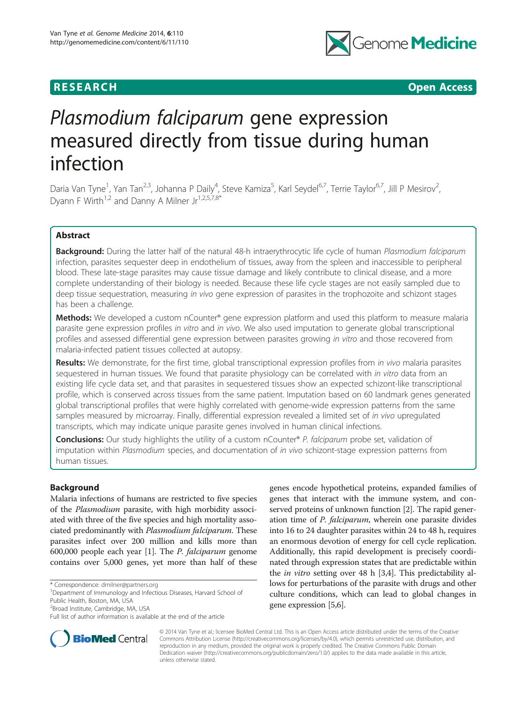

**RESEARCH RESEARCH** *CHECK <b>CHECK* 

# Plasmodium falciparum gene expression measured directly from tissue during human infection

Daria Van Tyne<sup>1</sup>, Yan Tan<sup>2,3</sup>, Johanna P Daily<sup>4</sup>, Steve Kamiza<sup>5</sup>, Karl Seydel<sup>6,7</sup>, Terrie Taylor<sup>6,7</sup>, Jill P Mesirov<sup>2</sup> , Dyann F Wirth<sup>1,2</sup> and Danny A Milner Jr<sup>1,2,5,7,8\*</sup>

### Abstract

Background: During the latter half of the natural 48-h intraerythrocytic life cycle of human Plasmodium falciparum infection, parasites sequester deep in endothelium of tissues, away from the spleen and inaccessible to peripheral blood. These late-stage parasites may cause tissue damage and likely contribute to clinical disease, and a more complete understanding of their biology is needed. Because these life cycle stages are not easily sampled due to deep tissue sequestration, measuring in vivo gene expression of parasites in the trophozoite and schizont stages has been a challenge.

Methods: We developed a custom nCounter® gene expression platform and used this platform to measure malaria parasite gene expression profiles in vitro and in vivo. We also used imputation to generate global transcriptional profiles and assessed differential gene expression between parasites growing in vitro and those recovered from malaria-infected patient tissues collected at autopsy.

Results: We demonstrate, for the first time, global transcriptional expression profiles from in vivo malaria parasites sequestered in human tissues. We found that parasite physiology can be correlated with in vitro data from an existing life cycle data set, and that parasites in sequestered tissues show an expected schizont-like transcriptional profile, which is conserved across tissues from the same patient. Imputation based on 60 landmark genes generated global transcriptional profiles that were highly correlated with genome-wide expression patterns from the same samples measured by microarray. Finally, differential expression revealed a limited set of in vivo upregulated transcripts, which may indicate unique parasite genes involved in human clinical infections.

**Conclusions:** Our study highlights the utility of a custom nCounter® P. falciparum probe set, validation of imputation within Plasmodium species, and documentation of in vivo schizont-stage expression patterns from human tissues.

### Background

Malaria infections of humans are restricted to five species of the Plasmodium parasite, with high morbidity associated with three of the five species and high mortality associated predominantly with Plasmodium falciparum. These parasites infect over 200 million and kills more than 600,000 people each year [[1\]](#page-7-0). The P. falciparum genome contains over 5,000 genes, yet more than half of these

\* Correspondence: [dmilner@partners.org](mailto:dmilner@partners.org) <sup>1</sup>

Department of Immunology and Infectious Diseases, Harvard School of Public Health, Boston, MA, USA

<sup>2</sup>Broad Institute, Cambridge, MA, USA

genes encode hypothetical proteins, expanded families of genes that interact with the immune system, and conserved proteins of unknown function [[2](#page-7-0)]. The rapid generation time of P. falciparum, wherein one parasite divides into 16 to 24 daughter parasites within 24 to 48 h, requires an enormous devotion of energy for cell cycle replication. Additionally, this rapid development is precisely coordinated through expression states that are predictable within the *in vitro* setting over 48 h [[3,4](#page-8-0)]. This predictability allows for perturbations of the parasite with drugs and other culture conditions, which can lead to global changes in gene expression [[5,6\]](#page-8-0).



© 2014 Van Tyne et al.; licensee BioMed Central Ltd. This is an Open Access article distributed under the terms of the Creative Commons Attribution License [\(http://creativecommons.org/licenses/by/4.0\)](http://creativecommons.org/licenses/by/4.0), which permits unrestricted use, distribution, and reproduction in any medium, provided the original work is properly credited. The Creative Commons Public Domain Dedication waiver [\(http://creativecommons.org/publicdomain/zero/1.0/](http://creativecommons.org/publicdomain/zero/1.0/)) applies to the data made available in this article, unless otherwise stated.

Full list of author information is available at the end of the article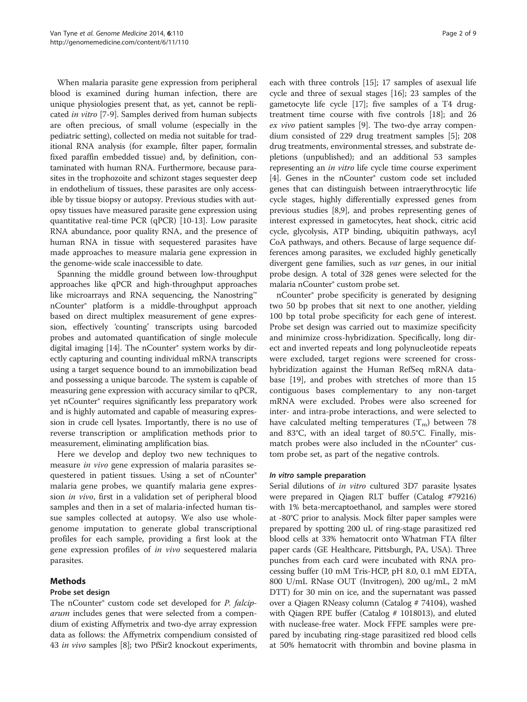<span id="page-1-0"></span>When malaria parasite gene expression from peripheral blood is examined during human infection, there are unique physiologies present that, as yet, cannot be replicated in vitro [[7-9](#page-8-0)]. Samples derived from human subjects are often precious, of small volume (especially in the pediatric setting), collected on media not suitable for traditional RNA analysis (for example, filter paper, formalin fixed paraffin embedded tissue) and, by definition, contaminated with human RNA. Furthermore, because parasites in the trophozoite and schizont stages sequester deep in endothelium of tissues, these parasites are only accessible by tissue biopsy or autopsy. Previous studies with autopsy tissues have measured parasite gene expression using quantitative real-time PCR (qPCR) [\[10](#page-8-0)-[13](#page-8-0)]. Low parasite RNA abundance, poor quality RNA, and the presence of human RNA in tissue with sequestered parasites have made approaches to measure malaria gene expression in the genome-wide scale inaccessible to date.

Spanning the middle ground between low-throughput approaches like qPCR and high-throughput approaches like microarrays and RNA sequencing, the Nanostring™ nCounter® platform is a middle-throughput approach based on direct multiplex measurement of gene expression, effectively 'counting' transcripts using barcoded probes and automated quantification of single molecule digital imaging [\[14\]](#page-8-0). The nCounter® system works by directly capturing and counting individual mRNA transcripts using a target sequence bound to an immobilization bead and possessing a unique barcode. The system is capable of measuring gene expression with accuracy similar to qPCR, yet nCounter® requires significantly less preparatory work and is highly automated and capable of measuring expression in crude cell lysates. Importantly, there is no use of reverse transcription or amplification methods prior to measurement, eliminating amplification bias.

Here we develop and deploy two new techniques to measure in vivo gene expression of malaria parasites sequestered in patient tissues. Using a set of nCounter® malaria gene probes, we quantify malaria gene expression in vivo, first in a validation set of peripheral blood samples and then in a set of malaria-infected human tissue samples collected at autopsy. We also use wholegenome imputation to generate global transcriptional profiles for each sample, providing a first look at the gene expression profiles of in vivo sequestered malaria parasites.

### Methods

#### Probe set design

The nCounter<sup>®</sup> custom code set developed for *P. falcip*arum includes genes that were selected from a compendium of existing Affymetrix and two-dye array expression data as follows: the Affymetrix compendium consisted of 43 in vivo samples [[8\]](#page-8-0); two PfSir2 knockout experiments,

each with three controls [\[15\]](#page-8-0); 17 samples of asexual life cycle and three of sexual stages [[16](#page-8-0)]; 23 samples of the gametocyte life cycle [\[17\]](#page-8-0); five samples of a T4 drugtreatment time course with five controls [\[18\]](#page-8-0); and 26 ex vivo patient samples [\[9](#page-8-0)]. The two-dye array compendium consisted of 229 drug treatment samples [\[5](#page-8-0)]; 208 drug treatments, environmental stresses, and substrate depletions (unpublished); and an additional 53 samples representing an in vitro life cycle time course experiment [[4\]](#page-8-0). Genes in the nCounter® custom code set included genes that can distinguish between intraerythrocytic life cycle stages, highly differentially expressed genes from previous studies [\[8,9\]](#page-8-0), and probes representing genes of interest expressed in gametocytes, heat shock, citric acid cycle, glycolysis, ATP binding, ubiquitin pathways, acyl CoA pathways, and others. Because of large sequence differences among parasites, we excluded highly genetically divergent gene families, such as var genes, in our initial probe design. A total of 328 genes were selected for the malaria nCounter® custom probe set.

nCounter® probe specificity is generated by designing two 50 bp probes that sit next to one another, yielding 100 bp total probe specificity for each gene of interest. Probe set design was carried out to maximize specificity and minimize cross-hybridization. Specifically, long direct and inverted repeats and long polynucleotide repeats were excluded, target regions were screened for crosshybridization against the Human RefSeq mRNA database [[19](#page-8-0)], and probes with stretches of more than 15 contiguous bases complementary to any non-target mRNA were excluded. Probes were also screened for inter- and intra-probe interactions, and were selected to have calculated melting temperatures  $(T_m)$  between 78 and 83°C, with an ideal target of 80.5°C. Finally, mismatch probes were also included in the nCounter® custom probe set, as part of the negative controls.

#### In vitro sample preparation

Serial dilutions of *in vitro* cultured 3D7 parasite lysates were prepared in Qiagen RLT buffer (Catalog #79216) with 1% beta-mercaptoethanol, and samples were stored at -80°C prior to analysis. Mock filter paper samples were prepared by spotting 200 uL of ring-stage parasitized red blood cells at 33% hematocrit onto Whatman FTA filter paper cards (GE Healthcare, Pittsburgh, PA, USA). Three punches from each card were incubated with RNA processing buffer (10 mM Tris-HCP, pH 8.0, 0.1 mM EDTA, 800 U/mL RNase OUT (Invitrogen), 200 ug/mL, 2 mM DTT) for 30 min on ice, and the supernatant was passed over a Qiagen RNeasy column (Catalog # 74104), washed with Qiagen RPE buffer (Catalog # 1018013), and eluted with nuclease-free water. Mock FFPE samples were prepared by incubating ring-stage parasitized red blood cells at 50% hematocrit with thrombin and bovine plasma in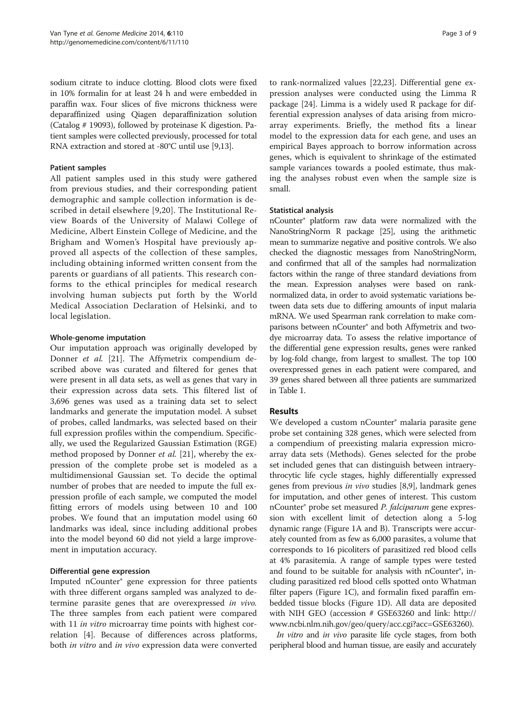sodium citrate to induce clotting. Blood clots were fixed in 10% formalin for at least 24 h and were embedded in paraffin wax. Four slices of five microns thickness were deparaffinized using Qiagen deparaffinization solution (Catalog # 19093), followed by proteinase K digestion. Patient samples were collected previously, processed for total RNA extraction and stored at -80°C until use [\[9,13\]](#page-8-0).

#### Patient samples

All patient samples used in this study were gathered from previous studies, and their corresponding patient demographic and sample collection information is described in detail elsewhere [[9](#page-8-0),[20\]](#page-8-0). The Institutional Review Boards of the University of Malawi College of Medicine, Albert Einstein College of Medicine, and the Brigham and Women's Hospital have previously approved all aspects of the collection of these samples, including obtaining informed written consent from the parents or guardians of all patients. This research conforms to the ethical principles for medical research involving human subjects put forth by the World Medical Association Declaration of Helsinki, and to local legislation.

#### Whole-genome imputation

Our imputation approach was originally developed by Donner et al. [[21](#page-8-0)]. The Affymetrix compendium described above was curated and filtered for genes that were present in all data sets, as well as genes that vary in their expression across data sets. This filtered list of 3,696 genes was used as a training data set to select landmarks and generate the imputation model. A subset of probes, called landmarks, was selected based on their full expression profiles within the compendium. Specifically, we used the Regularized Gaussian Estimation (RGE) method proposed by Donner et al. [\[21\]](#page-8-0), whereby the expression of the complete probe set is modeled as a multidimensional Gaussian set. To decide the optimal number of probes that are needed to impute the full expression profile of each sample, we computed the model fitting errors of models using between 10 and 100 probes. We found that an imputation model using 60 landmarks was ideal, since including additional probes into the model beyond 60 did not yield a large improvement in imputation accuracy.

#### Differential gene expression

Imputed nCounter® gene expression for three patients with three different organs sampled was analyzed to determine parasite genes that are overexpressed in vivo. The three samples from each patient were compared with 11 *in vitro* microarray time points with highest correlation [[4](#page-8-0)]. Because of differences across platforms, both *in vitro* and *in vivo* expression data were converted

to rank-normalized values [\[22,23\]](#page-8-0). Differential gene expression analyses were conducted using the Limma R package [[24\]](#page-8-0). Limma is a widely used R package for differential expression analyses of data arising from microarray experiments. Briefly, the method fits a linear model to the expression data for each gene, and uses an empirical Bayes approach to borrow information across genes, which is equivalent to shrinkage of the estimated sample variances towards a pooled estimate, thus making the analyses robust even when the sample size is small.

#### Statistical analysis

nCounter® platform raw data were normalized with the NanoStringNorm R package [\[25\]](#page-8-0), using the arithmetic mean to summarize negative and positive controls. We also checked the diagnostic messages from NanoStringNorm, and confirmed that all of the samples had normalization factors within the range of three standard deviations from the mean. Expression analyses were based on ranknormalized data, in order to avoid systematic variations between data sets due to differing amounts of input malaria mRNA. We used Spearman rank correlation to make comparisons between nCounter® and both Affymetrix and twodye microarray data. To assess the relative importance of the differential gene expression results, genes were ranked by log-fold change, from largest to smallest. The top 100 overexpressed genes in each patient were compared, and 39 genes shared between all three patients are summarized in Table [1](#page-3-0).

#### Results

We developed a custom nCounter® malaria parasite gene probe set containing 328 genes, which were selected from a compendium of preexisting malaria expression microarray data sets ([Methods](#page-1-0)). Genes selected for the probe set included genes that can distinguish between intraerythrocytic life cycle stages, highly differentially expressed genes from previous in vivo studies [[8,9](#page-8-0)], landmark genes for imputation, and other genes of interest. This custom nCounter® probe set measured *P. falciparum* gene expression with excellent limit of detection along a 5-log dynamic range (Figure [1](#page-3-0)A and B). Transcripts were accurately counted from as few as 6,000 parasites, a volume that corresponds to 16 picoliters of parasitized red blood cells at 4% parasitemia. A range of sample types were tested and found to be suitable for analysis with nCounter®, including parasitized red blood cells spotted onto Whatman filter papers (Figure [1C](#page-3-0)), and formalin fixed paraffin embedded tissue blocks (Figure [1](#page-3-0)D). All data are deposited with NIH GEO (accession # GSE63260 and link: [http://](http://www.ncbi.nlm.nih.gov/geo/query/acc.cgi?acc=GSE63260) [www.ncbi.nlm.nih.gov/geo/query/acc.cgi?acc=GSE63260\)](http://www.ncbi.nlm.nih.gov/geo/query/acc.cgi?acc=GSE63260).

In vitro and in vivo parasite life cycle stages, from both peripheral blood and human tissue, are easily and accurately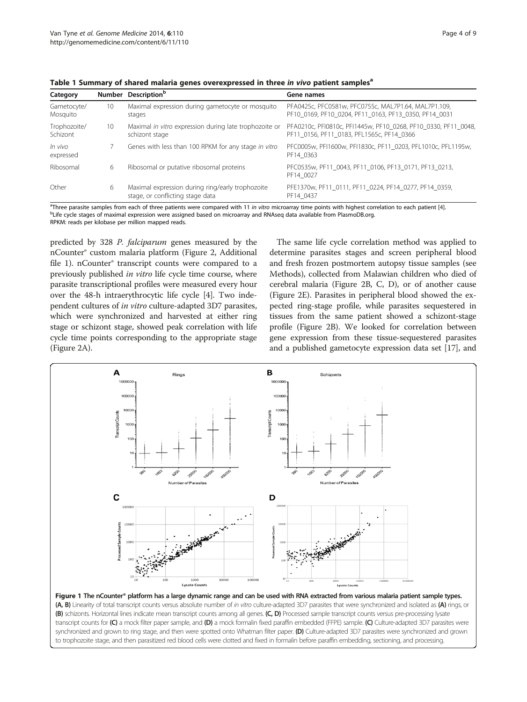| Category                 |    | Number Description <sup>b</sup>                                                      | Gene names                                                                                                    |
|--------------------------|----|--------------------------------------------------------------------------------------|---------------------------------------------------------------------------------------------------------------|
| Gametocyte/<br>Mosquito  | 10 | Maximal expression during gametocyte or mosquito<br>stages                           | PFA0425c, PFC0581w, PFC0755c, MAL7P1.64, MAL7P1.109,<br>PF10_0169, PF10_0204, PF11_0163, PF13_0350, PF14_0031 |
| Trophozoite/<br>Schizont | 10 | Maximal in vitro expression during late trophozoite or<br>schizont stage             | PFA0210c, PFI0810c, PFI1445w, PF10 0268, PF10 0330, PF11 0048,<br>PF11 0156, PF11 0183, PFL1565c, PF14 0366   |
| In vivo<br>expressed     |    | Genes with less than 100 RPKM for any stage in vitro                                 | PFC0005w, PFI1600w, PFI1830c, PF11_0203, PFL1010c, PFL1195w,<br>PF14 0363                                     |
| Ribosomal                | 6  | Ribosomal or putative ribosomal proteins                                             | PFC0535w, PF11 0043, PF11 0106, PF13 0171, PF13 0213,<br>PF14 0027                                            |
| Other                    | 6  | Maximal expression during ring/early trophozoite<br>stage, or conflicting stage data | PFE1370w, PF11_0111, PF11_0224, PF14_0277, PF14_0359,<br>PF14 0437                                            |

<span id="page-3-0"></span>Table 1 Summary of shared malaria genes overexpressed in three in vivo patient samples<sup>a</sup>

<sup>a</sup>Three parasite samples from each of three patients were compared with 11 *in vitro* microarray time points with highest correlation to each patient [\[4\]](#page-8-0).<br><sup>b</sup>life cycle stages of maximal expression were assigned based on <sup>b</sup> Life cycle stages of maximal expression were assigned based on microarray and RNAseq data available from PlasmoDB.org. RPKM: reads per kilobase per million mapped reads.

predicted by 328 P. falciparum genes measured by the nCounter® custom malaria platform (Figure [2,](#page-4-0) Additional file 1). nCounter<sup>®</sup> transcript counts were compared to a previously published in vitro life cycle time course, where parasite transcriptional profiles were measured every hour over the 48-h intraerythrocytic life cycle [[4\]](#page-8-0). Two independent cultures of in vitro culture-adapted 3D7 parasites, which were synchronized and harvested at either ring stage or schizont stage, showed peak correlation with life cycle time points corresponding to the appropriate stage (Figure [2](#page-4-0)A).

The same life cycle correlation method was applied to determine parasites stages and screen peripheral blood and fresh frozen postmortem autopsy tissue samples (see [Methods](#page-1-0)), collected from Malawian children who died of cerebral malaria (Figure [2](#page-4-0)B, C, D), or of another cause (Figure [2](#page-4-0)E). Parasites in peripheral blood showed the expected ring-stage profile, while parasites sequestered in tissues from the same patient showed a schizont-stage profile (Figure [2B](#page-4-0)). We looked for correlation between gene expression from these tissue-sequestered parasites and a published gametocyte expression data set [\[17](#page-8-0)], and



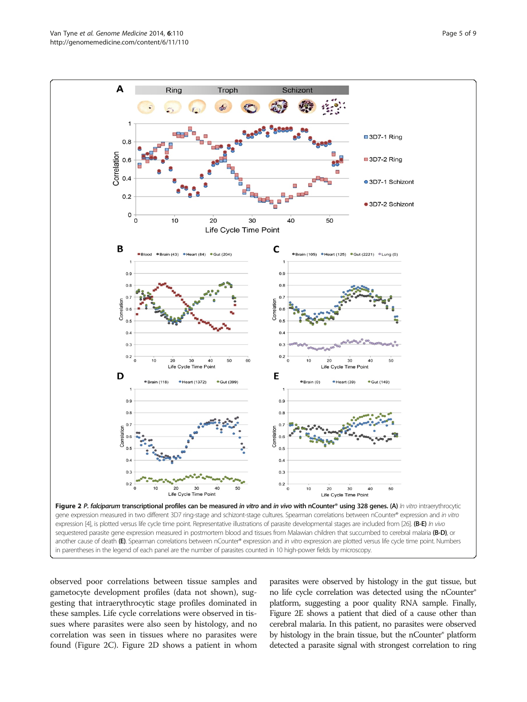<span id="page-4-0"></span>

observed poor correlations between tissue samples and gametocyte development profiles (data not shown), suggesting that intraerythrocytic stage profiles dominated in these samples. Life cycle correlations were observed in tissues where parasites were also seen by histology, and no correlation was seen in tissues where no parasites were found (Figure 2C). Figure 2D shows a patient in whom parasites were observed by histology in the gut tissue, but no life cycle correlation was detected using the nCounter® platform, suggesting a poor quality RNA sample. Finally, Figure 2E shows a patient that died of a cause other than cerebral malaria. In this patient, no parasites were observed by histology in the brain tissue, but the nCounter® platform detected a parasite signal with strongest correlation to ring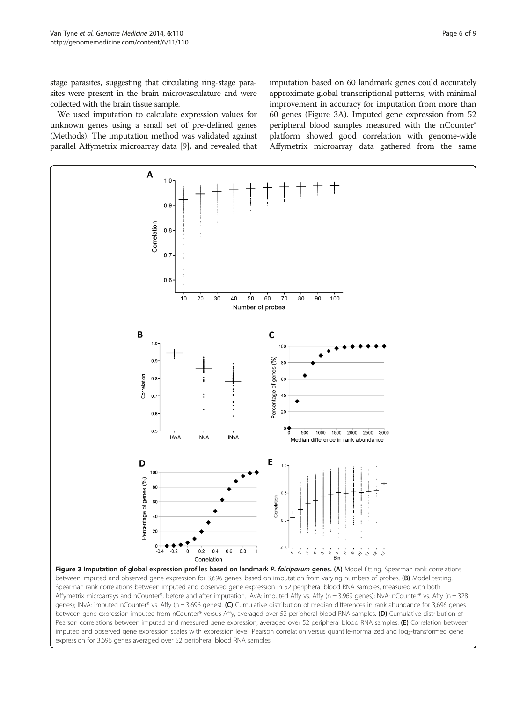<span id="page-5-0"></span>stage parasites, suggesting that circulating ring-stage parasites were present in the brain microvasculature and were collected with the brain tissue sample.

We used imputation to calculate expression values for unknown genes using a small set of pre-defined genes ([Methods](#page-1-0)). The imputation method was validated against parallel Affymetrix microarray data [\[9](#page-8-0)], and revealed that

imputation based on 60 landmark genes could accurately approximate global transcriptional patterns, with minimal improvement in accuracy for imputation from more than 60 genes (Figure 3A). Imputed gene expression from 52 peripheral blood samples measured with the nCounter® platform showed good correlation with genome-wide Affymetrix microarray data gathered from the same



genes); INvA: imputed nCounter® vs. Affy (n = 3,696 genes). (C) Cumulative distribution of median differences in rank abundance for 3,696 genes between gene expression imputed from nCounter® versus Affy, averaged over 52 peripheral blood RNA samples. (D) Cumulative distribution of Pearson correlations between imputed and measured gene expression, averaged over 52 peripheral blood RNA samples. (E) Correlation between imputed and observed gene expression scales with expression level. Pearson correlation versus quantile-normalized and log<sub>2</sub>-transformed gene expression for 3,696 genes averaged over 52 peripheral blood RNA samples.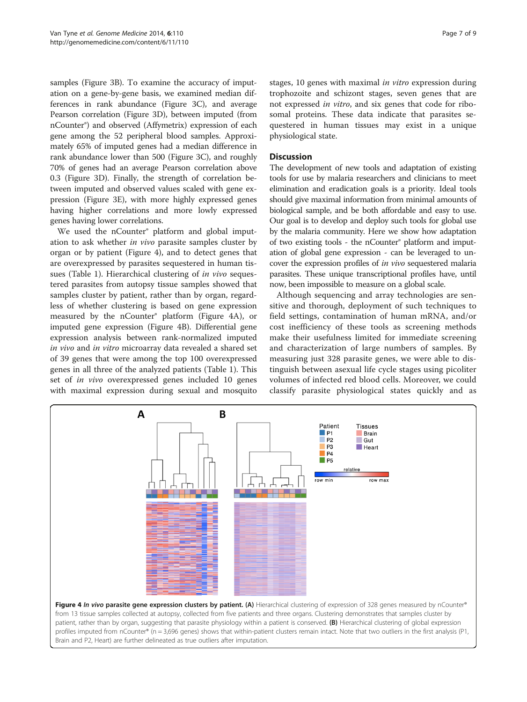samples (Figure [3](#page-5-0)B). To examine the accuracy of imputation on a gene-by-gene basis, we examined median differences in rank abundance (Figure [3](#page-5-0)C), and average Pearson correlation (Figure [3](#page-5-0)D), between imputed (from nCounter®) and observed (Affymetrix) expression of each gene among the 52 peripheral blood samples. Approximately 65% of imputed genes had a median difference in rank abundance lower than 500 (Figure [3](#page-5-0)C), and roughly 70% of genes had an average Pearson correlation above 0.3 (Figure [3](#page-5-0)D). Finally, the strength of correlation between imputed and observed values scaled with gene expression (Figure [3](#page-5-0)E), with more highly expressed genes having higher correlations and more lowly expressed genes having lower correlations.

We used the nCounter<sup>®</sup> platform and global imputation to ask whether in vivo parasite samples cluster by organ or by patient (Figure 4), and to detect genes that are overexpressed by parasites sequestered in human tis-sues (Table [1](#page-3-0)). Hierarchical clustering of in vivo sequestered parasites from autopsy tissue samples showed that samples cluster by patient, rather than by organ, regardless of whether clustering is based on gene expression measured by the nCounter® platform (Figure 4A), or imputed gene expression (Figure 4B). Differential gene expression analysis between rank-normalized imputed in vivo and in vitro microarray data revealed a shared set of 39 genes that were among the top 100 overexpressed genes in all three of the analyzed patients (Table [1](#page-3-0)). This set of in vivo overexpressed genes included 10 genes with maximal expression during sexual and mosquito stages, 10 genes with maximal in vitro expression during trophozoite and schizont stages, seven genes that are not expressed in vitro, and six genes that code for ribosomal proteins. These data indicate that parasites sequestered in human tissues may exist in a unique physiological state.

#### **Discussion**

The development of new tools and adaptation of existing tools for use by malaria researchers and clinicians to meet elimination and eradication goals is a priority. Ideal tools should give maximal information from minimal amounts of biological sample, and be both affordable and easy to use. Our goal is to develop and deploy such tools for global use by the malaria community. Here we show how adaptation of two existing tools - the nCounter® platform and imputation of global gene expression - can be leveraged to uncover the expression profiles of in vivo sequestered malaria parasites. These unique transcriptional profiles have, until now, been impossible to measure on a global scale.

Although sequencing and array technologies are sensitive and thorough, deployment of such techniques to field settings, contamination of human mRNA, and/or cost inefficiency of these tools as screening methods make their usefulness limited for immediate screening and characterization of large numbers of samples. By measuring just 328 parasite genes, we were able to distinguish between asexual life cycle stages using picoliter volumes of infected red blood cells. Moreover, we could classify parasite physiological states quickly and as



patient, rather than by organ, suggesting that parasite physiology within a patient is conserved. (B) Hierarchical clustering of global expression profiles imputed from nCounter® (n = 3,696 genes) shows that within-patient clusters remain intact. Note that two outliers in the first analysis (P1, Brain and P2, Heart) are further delineated as true outliers after imputation.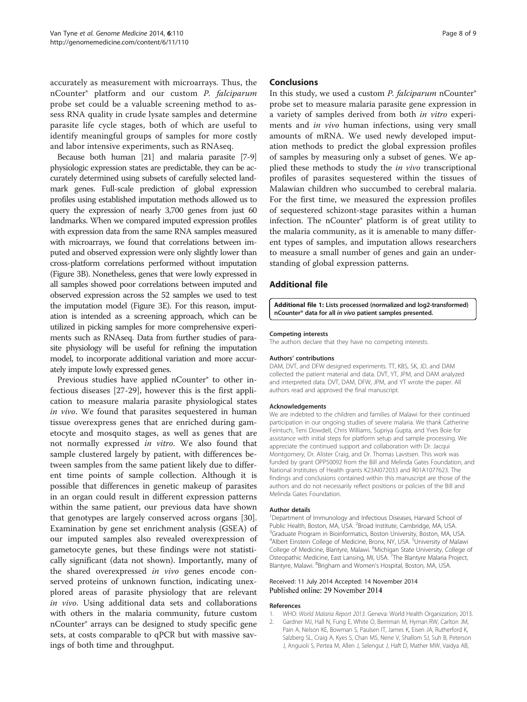<span id="page-7-0"></span>accurately as measurement with microarrays. Thus, the nCounter® platform and our custom P. falciparum probe set could be a valuable screening method to assess RNA quality in crude lysate samples and determine parasite life cycle stages, both of which are useful to identify meaningful groups of samples for more costly and labor intensive experiments, such as RNAseq.

Because both human [\[21\]](#page-8-0) and malaria parasite [[7](#page-8-0)-[9](#page-8-0)] physiologic expression states are predictable, they can be accurately determined using subsets of carefully selected landmark genes. Full-scale prediction of global expression profiles using established imputation methods allowed us to query the expression of nearly 3,700 genes from just 60 landmarks. When we compared imputed expression profiles with expression data from the same RNA samples measured with microarrays, we found that correlations between imputed and observed expression were only slightly lower than cross-platform correlations performed without imputation (Figure [3](#page-5-0)B). Nonetheless, genes that were lowly expressed in all samples showed poor correlations between imputed and observed expression across the 52 samples we used to test the imputation model (Figure [3E](#page-5-0)). For this reason, imputation is intended as a screening approach, which can be utilized in picking samples for more comprehensive experiments such as RNAseq. Data from further studies of parasite physiology will be useful for refining the imputation model, to incorporate additional variation and more accurately impute lowly expressed genes.

Previous studies have applied nCounter<sup>®</sup> to other infectious diseases [\[27](#page-8-0)-[29\]](#page-8-0), however this is the first application to measure malaria parasite physiological states in vivo. We found that parasites sequestered in human tissue overexpress genes that are enriched during gametocyte and mosquito stages, as well as genes that are not normally expressed in vitro. We also found that sample clustered largely by patient, with differences between samples from the same patient likely due to different time points of sample collection. Although it is possible that differences in genetic makeup of parasites in an organ could result in different expression patterns within the same patient, our previous data have shown that genotypes are largely conserved across organs [\[30](#page-8-0)]. Examination by gene set enrichment analysis (GSEA) of our imputed samples also revealed overexpression of gametocyte genes, but these findings were not statistically significant (data not shown). Importantly, many of the shared overexpressed in vivo genes encode conserved proteins of unknown function, indicating unexplored areas of parasite physiology that are relevant in vivo. Using additional data sets and collaborations with others in the malaria community, future custom nCounter® arrays can be designed to study specific gene sets, at costs comparable to qPCR but with massive savings of both time and throughput.

#### **Conclusions**

In this study, we used a custom P. falciparum nCounter® probe set to measure malaria parasite gene expression in a variety of samples derived from both in vitro experiments and *in vivo* human infections, using very small amounts of mRNA. We used newly developed imputation methods to predict the global expression profiles of samples by measuring only a subset of genes. We applied these methods to study the *in vivo* transcriptional profiles of parasites sequestered within the tissues of Malawian children who succumbed to cerebral malaria. For the first time, we measured the expression profiles of sequestered schizont-stage parasites within a human infection. The nCounter® platform is of great utility to the malaria community, as it is amenable to many different types of samples, and imputation allows researchers to measure a small number of genes and gain an understanding of global expression patterns.

#### Additional file

[Additional file 1:](http://genomemedicine.com/content/supplementary/s13073-014-0110-6-s1.xlsx) Lists processed (normalized and log2-transformed) nCounter® data for all in vivo patient samples presented.

#### Competing interests

The authors declare that they have no competing interests.

#### Authors' contributions

DAM, DVT, and DFW designed experiments. TT, KBS, SK, JD, and DAM collected the patient material and data. DVT, YT, JPM, and DAM analyzed and interpreted data. DVT, DAM, DFW, JPM, and YT wrote the paper. All authors read and approved the final manuscript.

#### Acknowledgements

We are indebted to the children and families of Malawi for their continued participation in our ongoing studies of severe malaria. We thank Catherine Feintuch, Teni Dowdell, Chris Williams, Supriya Gupta, and Yves Boie for assistance with initial steps for platform setup and sample processing. We appreciate the continued support and collaboration with Dr. Jacqui Montgomery, Dr. Alister Craig, and Dr. Thomas Lavstsen. This work was funded by grant OPP50092 from the Bill and Melinda Gates Foundation, and National Institutes of Health grants K23AI072033 and R01A1077623. The findings and conclusions contained within this manuscript are those of the authors and do not necessarily reflect positions or policies of the Bill and Melinda Gates Foundation.

#### Author details

<sup>1</sup>Department of Immunology and Infectious Diseases, Harvard School of Public Health, Boston, MA, USA. <sup>2</sup>Broad Institute, Cambridge, MA, USA.<br><sup>3</sup>Graduate Program in Bioinformatics, Boston University, Boston, MA, L <sup>3</sup>Graduate Program in Bioinformatics, Boston University, Boston, MA, USA. <sup>4</sup> Albert Einstein College of Medicine, Bronx, NY, USA. <sup>5</sup> University of Malawi College of Medicine, Blantyre, Malawi. <sup>6</sup>Michigan State University, College of Osteopathic Medicine, East Lansing, MI, USA.<sup>7</sup>The Blantyre Malaria Project Blantyre, Malawi. <sup>8</sup>Brigham and Women's Hospital, Boston, MA, USA.

## Received: 11 July 2014 Accepted: 14 November 2014

#### References

- 1. WHO: World Malaria Report 2013. Geneva: World Health Organization; 2013.
- 2. Gardner MJ, Hall N, Fung E, White O, Berriman M, Hyman RW, Carlton JM, Pain A, Nelson KE, Bowman S, Paulsen IT, James K, Eisen JA, Rutherford K, Salzberg SL, Craig A, Kyes S, Chan MS, Nene V, Shallom SJ, Suh B, Peterson J, Anguioli S, Pertea M, Allen J, Selengut J, Haft D, Mather MW, Vaidya AB,